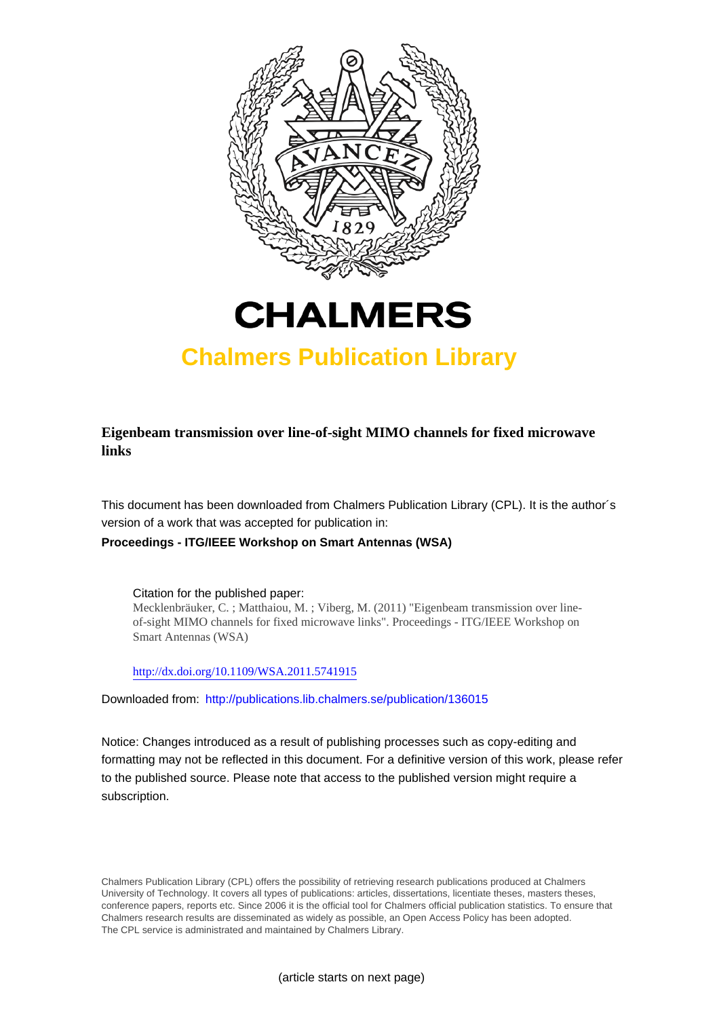



# **Chalmers Publication Library**

**Eigenbeam transmission over line-of-sight MIMO channels for fixed microwave links**

This document has been downloaded from Chalmers Publication Library (CPL). It is the author´s version of a work that was accepted for publication in:

# **Proceedings - ITG/IEEE Workshop on Smart Antennas (WSA)**

Citation for the published paper: Mecklenbräuker, C. ; Matthaiou, M. ; Viberg, M. (2011) "Eigenbeam transmission over lineof-sight MIMO channels for fixed microwave links". Proceedings - ITG/IEEE Workshop on Smart Antennas (WSA)

<http://dx.doi.org/10.1109/WSA.2011.5741915>

Downloaded from: <http://publications.lib.chalmers.se/publication/136015>

Notice: Changes introduced as a result of publishing processes such as copy-editing and formatting may not be reflected in this document. For a definitive version of this work, please refer to the published source. Please note that access to the published version might require a subscription.

Chalmers Publication Library (CPL) offers the possibility of retrieving research publications produced at Chalmers University of Technology. It covers all types of publications: articles, dissertations, licentiate theses, masters theses, conference papers, reports etc. Since 2006 it is the official tool for Chalmers official publication statistics. To ensure that Chalmers research results are disseminated as widely as possible, an Open Access Policy has been adopted. The CPL service is administrated and maintained by Chalmers Library.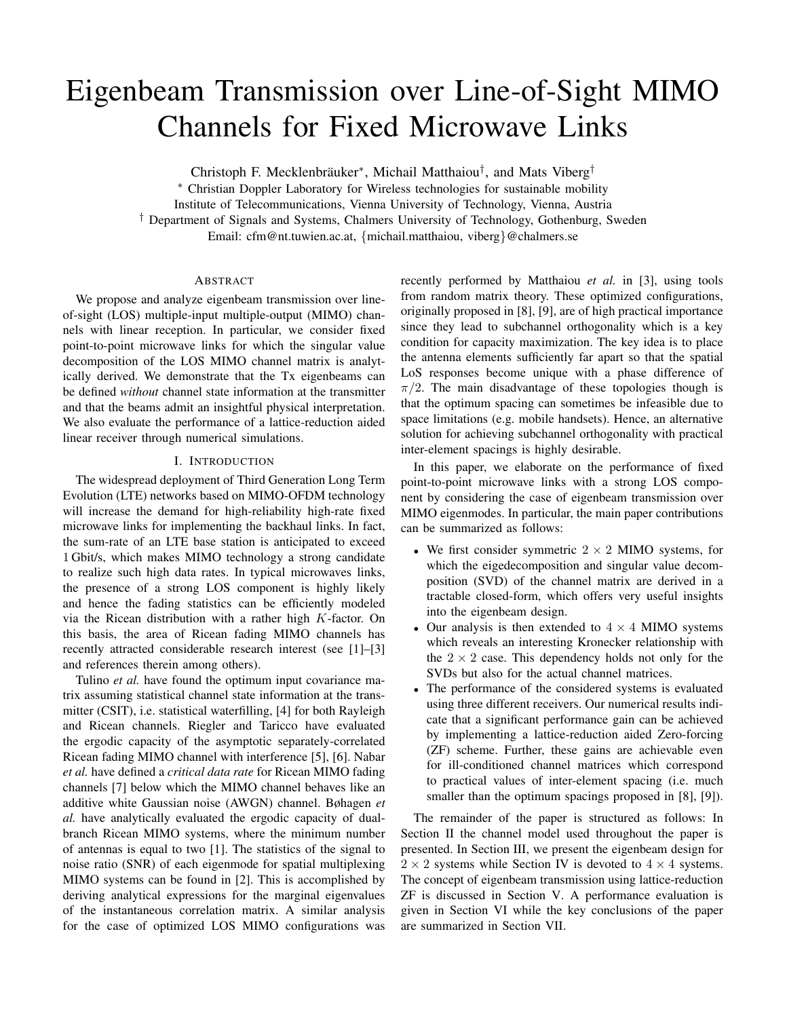# Eigenbeam Transmission over Line-of-Sight MIMO Channels for Fixed Microwave Links

Christoph F. Mecklenbräuker<sup>\*</sup>, Michail Matthaiou<sup>†</sup>, and Mats Viberg<sup>†</sup>

∗ Christian Doppler Laboratory for Wireless technologies for sustainable mobility

Institute of Telecommunications, Vienna University of Technology, Vienna, Austria

† Department of Signals and Systems, Chalmers University of Technology, Gothenburg, Sweden

Email: cfm@nt.tuwien.ac.at, {michail.matthaiou, viberg}@chalmers.se

# ABSTRACT

We propose and analyze eigenbeam transmission over lineof-sight (LOS) multiple-input multiple-output (MIMO) channels with linear reception. In particular, we consider fixed point-to-point microwave links for which the singular value decomposition of the LOS MIMO channel matrix is analytically derived. We demonstrate that the Tx eigenbeams can be defined *without* channel state information at the transmitter and that the beams admit an insightful physical interpretation. We also evaluate the performance of a lattice-reduction aided linear receiver through numerical simulations.

# I. INTRODUCTION

The widespread deployment of Third Generation Long Term Evolution (LTE) networks based on MIMO-OFDM technology will increase the demand for high-reliability high-rate fixed microwave links for implementing the backhaul links. In fact, the sum-rate of an LTE base station is anticipated to exceed 1 Gbit/s, which makes MIMO technology a strong candidate to realize such high data rates. In typical microwaves links, the presence of a strong LOS component is highly likely and hence the fading statistics can be efficiently modeled via the Ricean distribution with a rather high K-factor. On this basis, the area of Ricean fading MIMO channels has recently attracted considerable research interest (see [1]–[3] and references therein among others).

Tulino *et al.* have found the optimum input covariance matrix assuming statistical channel state information at the transmitter (CSIT), i.e. statistical waterfilling, [4] for both Rayleigh and Ricean channels. Riegler and Taricco have evaluated the ergodic capacity of the asymptotic separately-correlated Ricean fading MIMO channel with interference [5], [6]. Nabar *et al.* have defined a *critical data rate* for Ricean MIMO fading channels [7] below which the MIMO channel behaves like an additive white Gaussian noise (AWGN) channel. Bøhagen *et al.* have analytically evaluated the ergodic capacity of dualbranch Ricean MIMO systems, where the minimum number of antennas is equal to two [1]. The statistics of the signal to noise ratio (SNR) of each eigenmode for spatial multiplexing MIMO systems can be found in [2]. This is accomplished by deriving analytical expressions for the marginal eigenvalues of the instantaneous correlation matrix. A similar analysis for the case of optimized LOS MIMO configurations was recently performed by Matthaiou *et al.* in [3], using tools from random matrix theory. These optimized configurations, originally proposed in [8], [9], are of high practical importance since they lead to subchannel orthogonality which is a key condition for capacity maximization. The key idea is to place the antenna elements sufficiently far apart so that the spatial LoS responses become unique with a phase difference of  $\pi/2$ . The main disadvantage of these topologies though is that the optimum spacing can sometimes be infeasible due to space limitations (e.g. mobile handsets). Hence, an alternative solution for achieving subchannel orthogonality with practical inter-element spacings is highly desirable.

In this paper, we elaborate on the performance of fixed point-to-point microwave links with a strong LOS component by considering the case of eigenbeam transmission over MIMO eigenmodes. In particular, the main paper contributions can be summarized as follows:

- We first consider symmetric  $2 \times 2$  MIMO systems, for which the eigedecomposition and singular value decomposition (SVD) of the channel matrix are derived in a tractable closed-form, which offers very useful insights into the eigenbeam design.
- Our analysis is then extended to  $4 \times 4$  MIMO systems which reveals an interesting Kronecker relationship with the  $2 \times 2$  case. This dependency holds not only for the SVDs but also for the actual channel matrices.
- The performance of the considered systems is evaluated using three different receivers. Our numerical results indicate that a significant performance gain can be achieved by implementing a lattice-reduction aided Zero-forcing (ZF) scheme. Further, these gains are achievable even for ill-conditioned channel matrices which correspond to practical values of inter-element spacing (i.e. much smaller than the optimum spacings proposed in [8], [9]).

The remainder of the paper is structured as follows: In Section II the channel model used throughout the paper is presented. In Section III, we present the eigenbeam design for  $2 \times 2$  systems while Section IV is devoted to  $4 \times 4$  systems. The concept of eigenbeam transmission using lattice-reduction ZF is discussed in Section V. A performance evaluation is given in Section VI while the key conclusions of the paper are summarized in Section VII.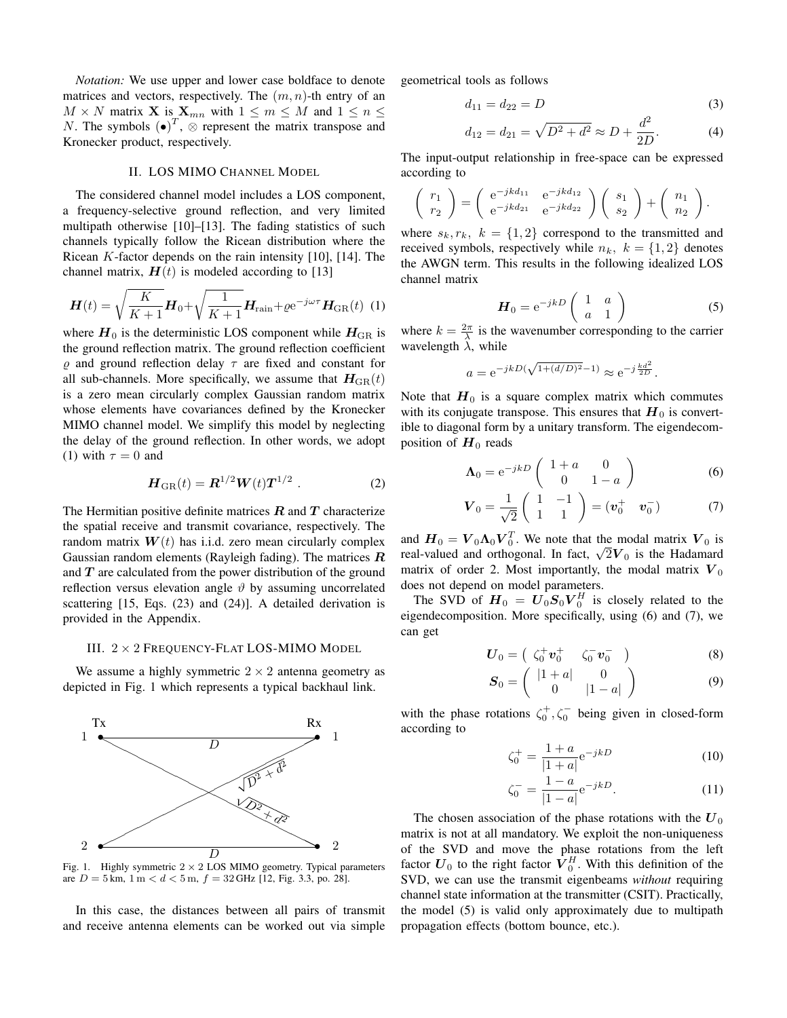*Notation:* We use upper and lower case boldface to denote matrices and vectors, respectively. The  $(m, n)$ -th entry of an  $M \times N$  matrix **X** is  $\mathbf{X}_{mn}$  with  $1 \leq m \leq M$  and  $1 \leq n \leq$ N. The symbols  $(\bullet)^T$ ,  $\otimes$  represent the matrix transpose and Kronecker product, respectively.

# II. LOS MIMO CHANNEL MODEL

The considered channel model includes a LOS component, a frequency-selective ground reflection, and very limited multipath otherwise [10]–[13]. The fading statistics of such channels typically follow the Ricean distribution where the Ricean  $K$ -factor depends on the rain intensity [10], [14]. The channel matrix,  $H(t)$  is modeled according to [13]

$$
\boldsymbol{H}(t) = \sqrt{\frac{K}{K+1}} \boldsymbol{H}_0 + \sqrt{\frac{1}{K+1}} \boldsymbol{H}_{\text{rain}} + \varrho e^{-j\omega\tau} \boldsymbol{H}_{\text{GR}}(t) \tag{1}
$$

where  $H_0$  is the deterministic LOS component while  $H_{\text{GR}}$  is the ground reflection matrix. The ground reflection coefficient  $\rho$  and ground reflection delay  $\tau$  are fixed and constant for all sub-channels. More specifically, we assume that  $H_{\text{GR}}(t)$ is a zero mean circularly complex Gaussian random matrix whose elements have covariances defined by the Kronecker MIMO channel model. We simplify this model by neglecting the delay of the ground reflection. In other words, we adopt (1) with  $\tau = 0$  and

$$
\boldsymbol{H}_{\text{GR}}(t) = \boldsymbol{R}^{1/2} \boldsymbol{W}(t) \boldsymbol{T}^{1/2} . \tag{2}
$$

The Hermitian positive definite matrices  $R$  and  $T$  characterize the spatial receive and transmit covariance, respectively. The random matrix  $W(t)$  has i.i.d. zero mean circularly complex Gaussian random elements (Rayleigh fading). The matrices  $R$ and  $T$  are calculated from the power distribution of the ground reflection versus elevation angle  $\vartheta$  by assuming uncorrelated scattering [15, Eqs. (23) and (24)]. A detailed derivation is provided in the Appendix.

#### III. 2 × 2 FREQUENCY-FLAT LOS-MIMO MODEL

We assume a highly symmetric  $2 \times 2$  antenna geometry as depicted in Fig. 1 which represents a typical backhaul link.



Fig. 1. Highly symmetric  $2 \times 2$  LOS MIMO geometry. Typical parameters are  $D = 5$  km,  $1 \text{ m} < d < 5 \text{ m}$ ,  $f = 32$  GHz [12, Fig. 3.3, po. 28].

In this case, the distances between all pairs of transmit and receive antenna elements can be worked out via simple geometrical tools as follows

$$
d_{11} = d_{22} = D \tag{3}
$$

$$
d_{12} = d_{21} = \sqrt{D^2 + d^2} \approx D + \frac{d^2}{2D}.
$$
 (4)

The input-output relationship in free-space can be expressed according to

$$
\begin{pmatrix} r_1 \\ r_2 \end{pmatrix} = \begin{pmatrix} e^{-jkd_{11}} & e^{-jkd_{12}} \\ e^{-jkd_{21}} & e^{-jkd_{22}} \end{pmatrix} \begin{pmatrix} s_1 \\ s_2 \end{pmatrix} + \begin{pmatrix} n_1 \\ n_2 \end{pmatrix}.
$$

where  $s_k, r_k, k = \{1, 2\}$  correspond to the transmitted and received symbols, respectively while  $n_k$ ,  $k = \{1, 2\}$  denotes the AWGN term. This results in the following idealized LOS channel matrix

$$
\boldsymbol{H}_0 = e^{-jkD} \begin{pmatrix} 1 & a \\ a & 1 \end{pmatrix}
$$
 (5)

where  $k = \frac{2\pi}{\lambda}$  is the wavenumber corresponding to the carrier wavelength  $\lambda$ , while

$$
a = e^{-jkD(\sqrt{1+(d/D)^2}-1)} \approx e^{-j\frac{kd^2}{2D}}
$$
.

Note that  $H_0$  is a square complex matrix which commutes with its conjugate transpose. This ensures that  $H_0$  is convertible to diagonal form by a unitary transform. The eigendecomposition of  $H_0$  reads

$$
\Lambda_0 = e^{-jkD} \begin{pmatrix} 1+a & 0 \\ 0 & 1-a \end{pmatrix}
$$
 (6)

$$
\boldsymbol{V}_0 = \frac{1}{\sqrt{2}} \begin{pmatrix} 1 & -1 \\ 1 & 1 \end{pmatrix} = (\boldsymbol{v}_0^+ \quad \boldsymbol{v}_0^-) \tag{7}
$$

and  $H_0 = V_0 \Lambda_0 V_0^T$ . We note that the modal matrix  $V_0$  is real-valued and orthogonal. In fact,  $\sqrt{2}V_0$  is the Hadamard matrix of order 2. Most importantly, the modal matrix  $V_0$ does not depend on model parameters.

The SVD of  $\boldsymbol{H}_0 = \boldsymbol{U}_0 \boldsymbol{S}_0 \boldsymbol{V}_0^H$  is closely related to the eigendecomposition. More specifically, using (6) and (7), we can get

$$
\boldsymbol{U}_0 = \begin{pmatrix} \zeta_0^+ \boldsymbol{v}_0^+ & \zeta_0^- \boldsymbol{v}_0^- \end{pmatrix} \tag{8}
$$

$$
\boldsymbol{S}_0 = \left( \begin{array}{cc} |1+a| & 0\\ 0 & |1-a| \end{array} \right) \tag{9}
$$

with the phase rotations  $\zeta_0^+, \zeta_0^-$  being given in closed-form according to

$$
\zeta_0^+ = \frac{1+a}{|1+a|} e^{-jkD} \tag{10}
$$

$$
\zeta_0^- = \frac{1-a}{|1-a|} e^{-jkD}.
$$
\n(11)

The chosen association of the phase rotations with the  $U_0$ matrix is not at all mandatory. We exploit the non-uniqueness of the SVD and move the phase rotations from the left factor  $U_0$  to the right factor  $V_0^H$ . With this definition of the SVD, we can use the transmit eigenbeams *without* requiring channel state information at the transmitter (CSIT). Practically, the model (5) is valid only approximately due to multipath propagation effects (bottom bounce, etc.).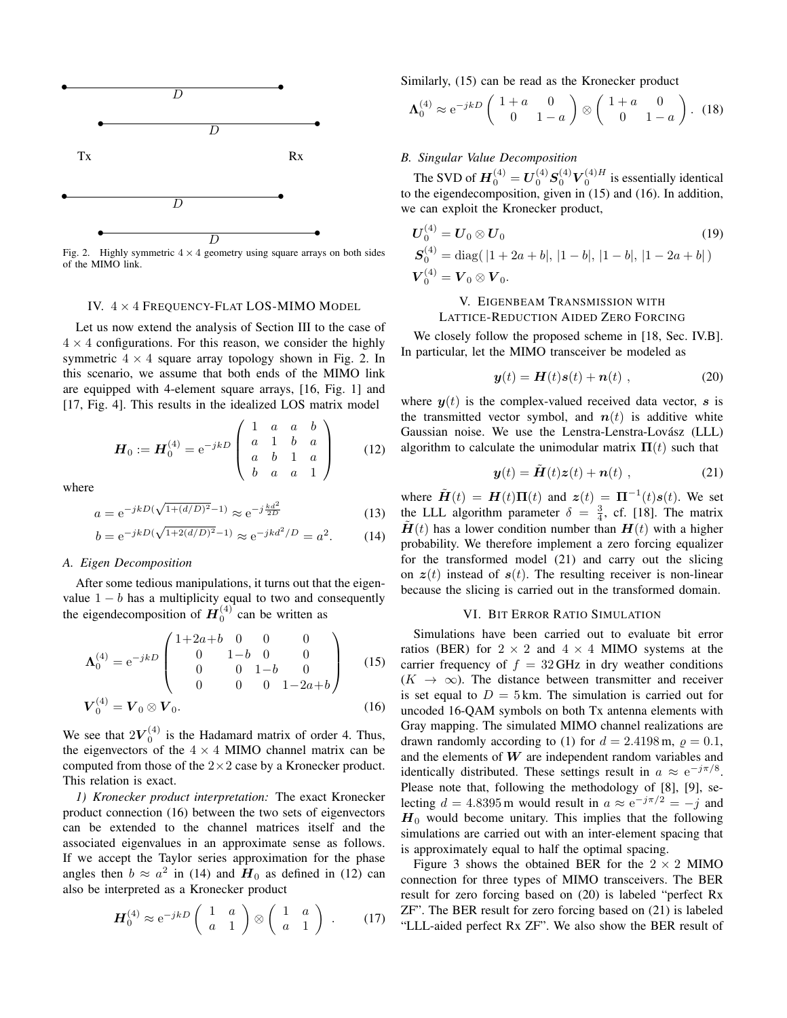

Fig. 2. Highly symmetric  $4 \times 4$  geometry using square arrays on both sides of the MIMO link.

#### IV. 4 × 4 FREQUENCY-FLAT LOS-MIMO MODEL

Let us now extend the analysis of Section III to the case of  $4 \times 4$  configurations. For this reason, we consider the highly symmetric  $4 \times 4$  square array topology shown in Fig. 2. In this scenario, we assume that both ends of the MIMO link are equipped with 4-element square arrays, [16, Fig. 1] and [17, Fig. 4]. This results in the idealized LOS matrix model

$$
\boldsymbol{H}_0 := \boldsymbol{H}_0^{(4)} = e^{-jkD} \begin{pmatrix} 1 & a & a & b \\ a & 1 & b & a \\ a & b & 1 & a \\ b & a & a & 1 \end{pmatrix}
$$
 (12)

where

$$
a = e^{-jkD(\sqrt{1 + (d/D)^2} - 1)} \approx e^{-j\frac{kd^2}{2D}}
$$
 (13)

$$
b = e^{-jkD(\sqrt{1+2(d/D)^2} - 1)} \approx e^{-jkd^2/D} = a^2.
$$
 (14)

#### *A. Eigen Decomposition*

After some tedious manipulations, it turns out that the eigenvalue  $1 - b$  has a multiplicity equal to two and consequently the eigendecomposition of  $\mathbf{H}^{(4)}_0$  can be written as

$$
\Lambda_0^{(4)} = e^{-jkD} \begin{pmatrix} 1+2a+b & 0 & 0 & 0 \\ 0 & 1-b & 0 & 0 \\ 0 & 0 & 1-b & 0 \\ 0 & 0 & 0 & 1-2a+b \end{pmatrix}
$$
 (15)  

$$
\boldsymbol{V}_0^{(4)} = \boldsymbol{V}_0 \otimes \boldsymbol{V}_0.
$$

We see that  $2V_0^{(4)}$  is the Hadamard matrix of order 4. Thus, the eigenvectors of the  $4 \times 4$  MIMO channel matrix can be computed from those of the  $2 \times 2$  case by a Kronecker product. This relation is exact.

*1) Kronecker product interpretation:* The exact Kronecker product connection (16) between the two sets of eigenvectors can be extended to the channel matrices itself and the associated eigenvalues in an approximate sense as follows. If we accept the Taylor series approximation for the phase angles then  $b \approx a^2$  in (14) and  $H_0$  as defined in (12) can also be interpreted as a Kronecker product

$$
\boldsymbol{H}_0^{(4)} \approx e^{-jk} D \begin{pmatrix} 1 & a \\ a & 1 \end{pmatrix} \otimes \begin{pmatrix} 1 & a \\ a & 1 \end{pmatrix} . \qquad (17)
$$

Similarly, (15) can be read as the Kronecker product

$$
\Lambda_0^{(4)} \approx e^{-jk} D \begin{pmatrix} 1+a & 0 \\ 0 & 1-a \end{pmatrix} \otimes \begin{pmatrix} 1+a & 0 \\ 0 & 1-a \end{pmatrix}.
$$
 (18)

### *B. Singular Value Decomposition*

The SVD of  $\boldsymbol{H}_{0}^{(4)}=\boldsymbol{U}_{0}^{(4)}\boldsymbol{S}_{0}^{(4)}\boldsymbol{V}_{0}^{(4)H}$  is essentially identical to the eigendecomposition, given in (15) and (16). In addition, we can exploit the Kronecker product,

$$
U_0^{(4)} = U_0 \otimes U_0
$$
  
\n
$$
S_0^{(4)} = \text{diag}(|1 + 2a + b|, |1 - b|, |1 - b|, |1 - 2a + b|)
$$
  
\n
$$
V_0^{(4)} = V_0 \otimes V_0.
$$
  
\n(19)

# V. EIGENBEAM TRANSMISSION WITH LATTICE-REDUCTION AIDED ZERO FORCING

We closely follow the proposed scheme in [18, Sec. IV.B]. In particular, let the MIMO transceiver be modeled as

$$
\mathbf{y}(t) = \mathbf{H}(t)\mathbf{s}(t) + \mathbf{n}(t) , \qquad (20)
$$

where  $y(t)$  is the complex-valued received data vector, s is the transmitted vector symbol, and  $n(t)$  is additive white Gaussian noise. We use the Lenstra-Lenstra-Lovász (LLL) algorithm to calculate the unimodular matrix  $\Pi(t)$  such that

$$
\mathbf{y}(t) = \tilde{\mathbf{H}}(t)\mathbf{z}(t) + \mathbf{n}(t) , \qquad (21)
$$

where  $\tilde{H}(t) = H(t)\Pi(t)$  and  $z(t) = \Pi^{-1}(t)s(t)$ . We set the LLL algorithm parameter  $\delta = \frac{3}{4}$ , cf. [18]. The matrix  $H(t)$  has a lower condition number than  $H(t)$  with a higher probability. We therefore implement a zero forcing equalizer for the transformed model (21) and carry out the slicing on  $z(t)$  instead of  $s(t)$ . The resulting receiver is non-linear because the slicing is carried out in the transformed domain.

#### VI. BIT ERROR RATIO SIMULATION

Simulations have been carried out to evaluate bit error ratios (BER) for  $2 \times 2$  and  $4 \times 4$  MIMO systems at the carrier frequency of  $f = 32$  GHz in dry weather conditions  $(K \to \infty)$ . The distance between transmitter and receiver is set equal to  $D = 5$  km. The simulation is carried out for uncoded 16-QAM symbols on both Tx antenna elements with Gray mapping. The simulated MIMO channel realizations are drawn randomly according to (1) for  $d = 2.4198$  m,  $\rho = 0.1$ , and the elements of  $W$  are independent random variables and identically distributed. These settings result in  $a \approx e^{-j\pi/8}$ . Please note that, following the methodology of [8], [9], selecting  $d = 4.8395$  m would result in  $a \approx e^{-j\pi/2} = -j$  and  $H_0$  would become unitary. This implies that the following simulations are carried out with an inter-element spacing that is approximately equal to half the optimal spacing.

Figure 3 shows the obtained BER for the  $2 \times 2$  MIMO connection for three types of MIMO transceivers. The BER result for zero forcing based on (20) is labeled "perfect Rx ZF". The BER result for zero forcing based on (21) is labeled "LLL-aided perfect Rx ZF". We also show the BER result of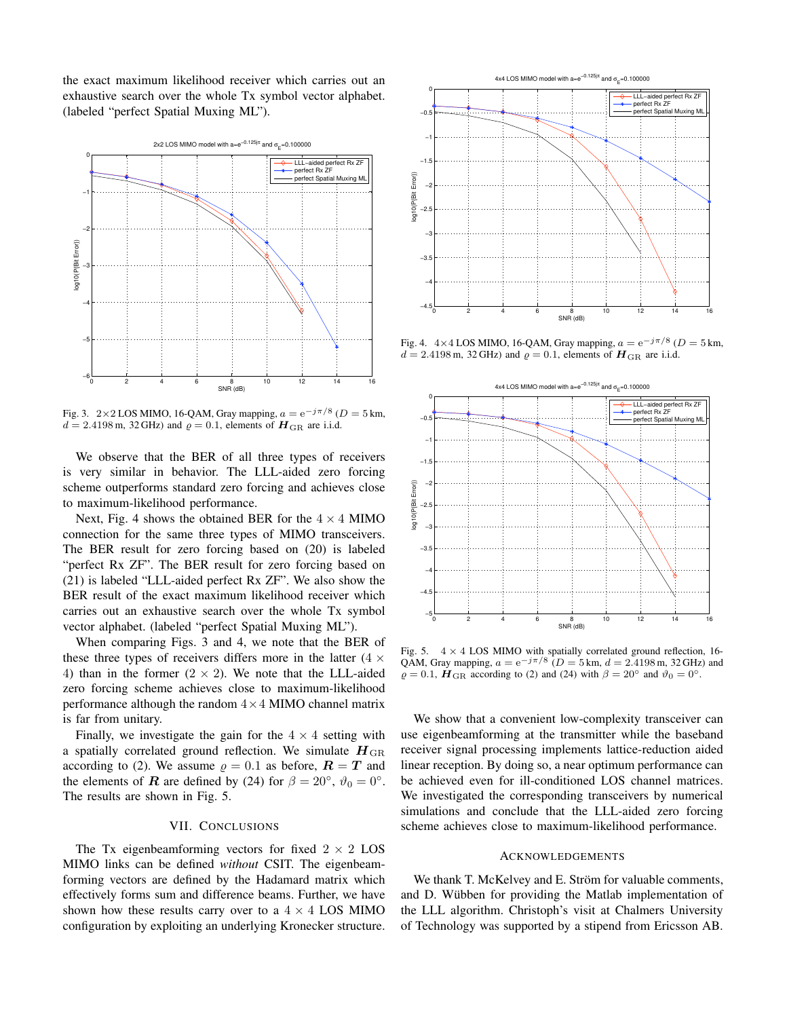the exact maximum likelihood receiver which carries out an exhaustive search over the whole Tx symbol vector alphabet. (labeled "perfect Spatial Muxing ML").



Fig. 3. 2×2 LOS MIMO, 16-QAM, Gray mapping,  $a = e^{-j\pi/8}$  ( $D = 5$  km,  $d = 2.4198$  m, 32 GHz) and  $\varrho = 0.1$ , elements of  $\boldsymbol{H}_{\text{GR}}$  are i.i.d.

We observe that the BER of all three types of receivers is very similar in behavior. The LLL-aided zero forcing scheme outperforms standard zero forcing and achieves close to maximum-likelihood performance.

Next, Fig. 4 shows the obtained BER for the  $4 \times 4$  MIMO connection for the same three types of MIMO transceivers. The BER result for zero forcing based on (20) is labeled "perfect Rx ZF". The BER result for zero forcing based on (21) is labeled "LLL-aided perfect Rx ZF". We also show the BER result of the exact maximum likelihood receiver which carries out an exhaustive search over the whole Tx symbol vector alphabet. (labeled "perfect Spatial Muxing ML").

When comparing Figs. 3 and 4, we note that the BER of these three types of receivers differs more in the latter  $(4 \times$ 4) than in the former  $(2 \times 2)$ . We note that the LLL-aided zero forcing scheme achieves close to maximum-likelihood performance although the random  $4 \times 4$  MIMO channel matrix is far from unitary.

Finally, we investigate the gain for the  $4 \times 4$  setting with a spatially correlated ground reflection. We simulate  $H_{\text{GR}}$ according to (2). We assume  $\rho = 0.1$  as before,  $\mathbf{R} = \mathbf{T}$  and the elements of **R** are defined by (24) for  $\beta = 20^{\circ}$ ,  $\vartheta_0 = 0^{\circ}$ . The results are shown in Fig. 5.

# VII. CONCLUSIONS

The Tx eigenbeamforming vectors for fixed  $2 \times 2$  LOS MIMO links can be defined *without* CSIT. The eigenbeamforming vectors are defined by the Hadamard matrix which effectively forms sum and difference beams. Further, we have shown how these results carry over to a  $4 \times 4$  LOS MIMO configuration by exploiting an underlying Kronecker structure.



Fig. 4.  $4 \times 4$  LOS MIMO, 16-QAM, Gray mapping,  $a = e^{-j\pi/8}$  ( $D = 5$  km,  $d = 2.4198$  m, 32 GHz) and  $\varrho = 0.1$ , elements of  $\boldsymbol{H}_{\rm GR}$  are i.i.d.



Fig. 5.  $4 \times 4$  LOS MIMO with spatially correlated ground reflection, 16-QAM, Gray mapping,  $a = e^{-j\pi/8}$  ( $D = 5$  km,  $d = 2.4198$  m, 32 GHz) and  $\rho = 0.1$ ,  $\mathbf{H}_{\text{GR}}$  according to (2) and (24) with  $\beta = 20^\circ$  and  $\vartheta_0 = 0^\circ$ .

We show that a convenient low-complexity transceiver can use eigenbeamforming at the transmitter while the baseband receiver signal processing implements lattice-reduction aided linear reception. By doing so, a near optimum performance can be achieved even for ill-conditioned LOS channel matrices. We investigated the corresponding transceivers by numerical simulations and conclude that the LLL-aided zero forcing scheme achieves close to maximum-likelihood performance.

#### ACKNOWLEDGEMENTS

We thank T. McKelvey and E. Ström for valuable comments, and D. Wübben for providing the Matlab implementation of the LLL algorithm. Christoph's visit at Chalmers University of Technology was supported by a stipend from Ericsson AB.